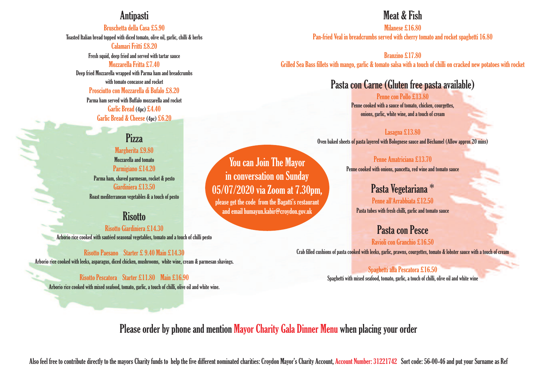## **Antipasti**

Bruschetta dellaCasa £5.90

Toasted Italian bread topped with diced tomato, olive oil, garlic, chilli & herbs Calamari Fritti £8.20

Fresh squid, deep fried and served with tartar sauce

#### Mozzarella Fritta £7.40

Deep fried Mozzarella wrapped with Parma ham and breadcrumbs with tomato concasse and rocket Prosciutto con Mozzarella di Bufalo £8.20 Parma ham served with Buffalo mozzarella and rocket Garlic Bread (4pc) £4.40

Garlic Bread & Cheese (4pc) £6.20

## Pizza

Margherita £9.80 Mozzarella and tomato Parmigiano £14.20 Parma ham, shaved parmesan, rocket & pesto Giardiniera £13.50 Roast mediterranean vegetables & a touch of pesto

### **Risotto**

Risotto Giardiniera £14.30 Arborio rice cooked with sautéed seasonal vegetables, tomato and a touch of chilli pesto

Risotto Paesano Starter £ 9.40 Main £14.30 Arborio rice cooked with leeks, asparagus, diced chicken, mushrooms, white wine, cream & parmesan shavings.

Risotto Pescatora Starter £11.80 Main £16.90 Arborio rice cooked with mixed seafood, tomato, garlic, a touch of chilli, olive oil and white wine.

## Meat & Fish

Milanese £16.80 Pan-fried Veal in breadcrumbs served with cherry tomato and rocket spaghetti 16.80

Branzino £17.80 Grilled Sea Bass fillets with mango, garlic & tomato salsa with a touch of chilli on cracked new potatoes with rocket

## Pasta con Carne (Gluten free pasta available)

Penne con Pollo £13.80 Penne cooked with a sauce of tomato, chicken, courgettes, onions, garlic, white wine, and a touch of cream

Lasagna £13.80 Oven baked sheets of pasta layered with Bolognese sauce and Béchamel (Allow approx 20 mins)

> Penne Amatriciana £13.70 Penne cooked with onions, pancetta, red wine and tomato sauce

> > Pasta Vegetariana \* Penne all'Arrabbiata £12.50

Pasta tubes with fresh chilli, garlic and tomato sauce

Pasta con Pesce Ravioli con Granchio £16.50

Crab filled cushions of pasta cooked with leeks, garlic, prawns, courgettes, tomato & lobster sauce with a touch of cream

#### Spaghetti alla Pescatora £16.50 Spaghetti with mixed seafood, tomato, garlic, a touch of chilli, olive oil and white wine

Please order by phone and mention Mayor Charity Gala Dinner Menu when placing your order

Also feel free to contribute directly to the mayors Charity funds to help the five different nominated charities: Croydon Mayor's Charity Account, Account Number: 31221742 Sort code: 56-00-46 and put your Surname as Ref

You can Join The Mayor in conversation on Sunday 05/07/2020 via Zoom at 7.30pm, please get the code from the Bagatti's restaurant and email humayun.kabir@croydon.gov.uk